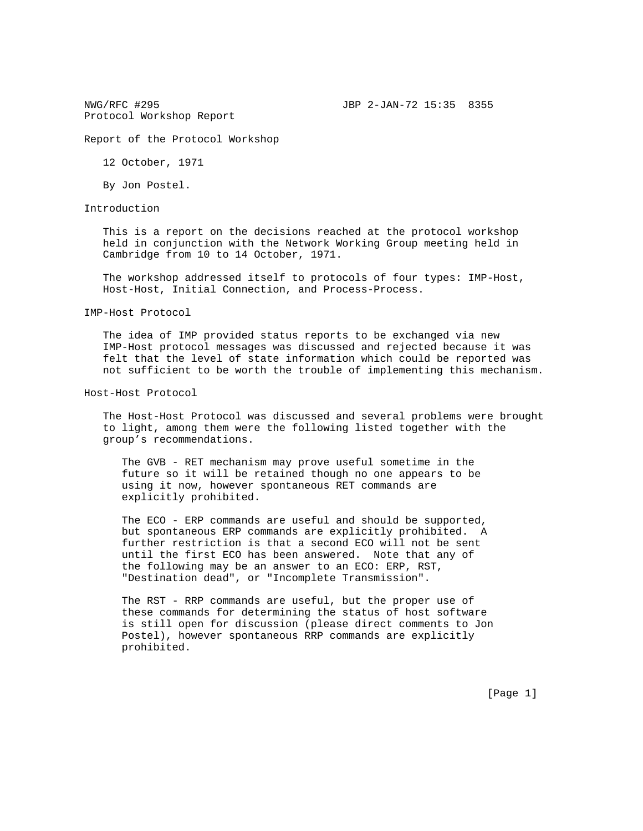Report of the Protocol Workshop

12 October, 1971

By Jon Postel.

Introduction

 This is a report on the decisions reached at the protocol workshop held in conjunction with the Network Working Group meeting held in Cambridge from 10 to 14 October, 1971.

 The workshop addressed itself to protocols of four types: IMP-Host, Host-Host, Initial Connection, and Process-Process.

IMP-Host Protocol

 The idea of IMP provided status reports to be exchanged via new IMP-Host protocol messages was discussed and rejected because it was felt that the level of state information which could be reported was not sufficient to be worth the trouble of implementing this mechanism.

Host-Host Protocol

 The Host-Host Protocol was discussed and several problems were brought to light, among them were the following listed together with the group's recommendations.

 The GVB - RET mechanism may prove useful sometime in the future so it will be retained though no one appears to be using it now, however spontaneous RET commands are explicitly prohibited.

 The ECO - ERP commands are useful and should be supported, but spontaneous ERP commands are explicitly prohibited. A further restriction is that a second ECO will not be sent until the first ECO has been answered. Note that any of the following may be an answer to an ECO: ERP, RST, "Destination dead", or "Incomplete Transmission".

 The RST - RRP commands are useful, but the proper use of these commands for determining the status of host software is still open for discussion (please direct comments to Jon Postel), however spontaneous RRP commands are explicitly prohibited.

[Page 1]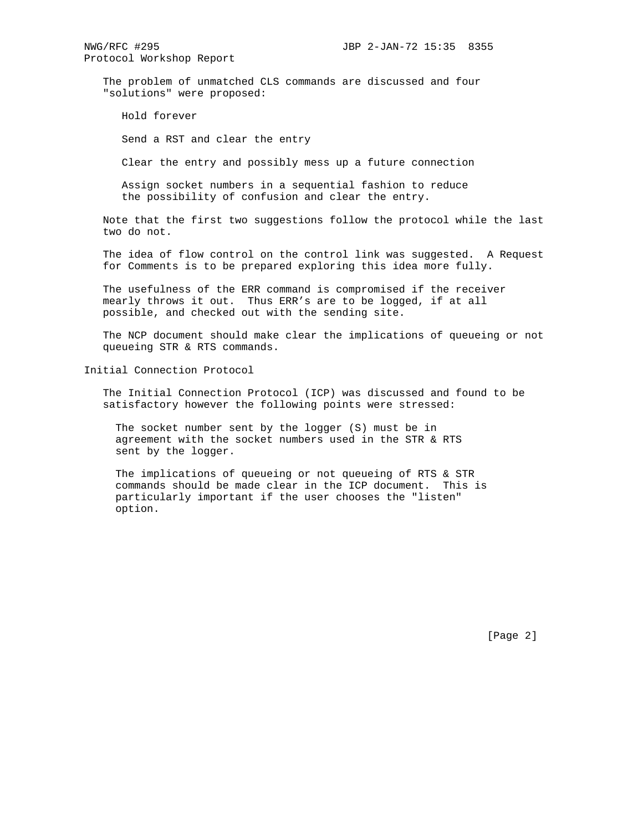The problem of unmatched CLS commands are discussed and four "solutions" were proposed:

Hold forever

Send a RST and clear the entry

Clear the entry and possibly mess up a future connection

 Assign socket numbers in a sequential fashion to reduce the possibility of confusion and clear the entry.

 Note that the first two suggestions follow the protocol while the last two do not.

 The idea of flow control on the control link was suggested. A Request for Comments is to be prepared exploring this idea more fully.

 The usefulness of the ERR command is compromised if the receiver mearly throws it out. Thus ERR's are to be logged, if at all possible, and checked out with the sending site.

 The NCP document should make clear the implications of queueing or not queueing STR & RTS commands.

Initial Connection Protocol

 The Initial Connection Protocol (ICP) was discussed and found to be satisfactory however the following points were stressed:

 The socket number sent by the logger (S) must be in agreement with the socket numbers used in the STR & RTS sent by the logger.

 The implications of queueing or not queueing of RTS & STR commands should be made clear in the ICP document. This is particularly important if the user chooses the "listen" option.

[Page 2]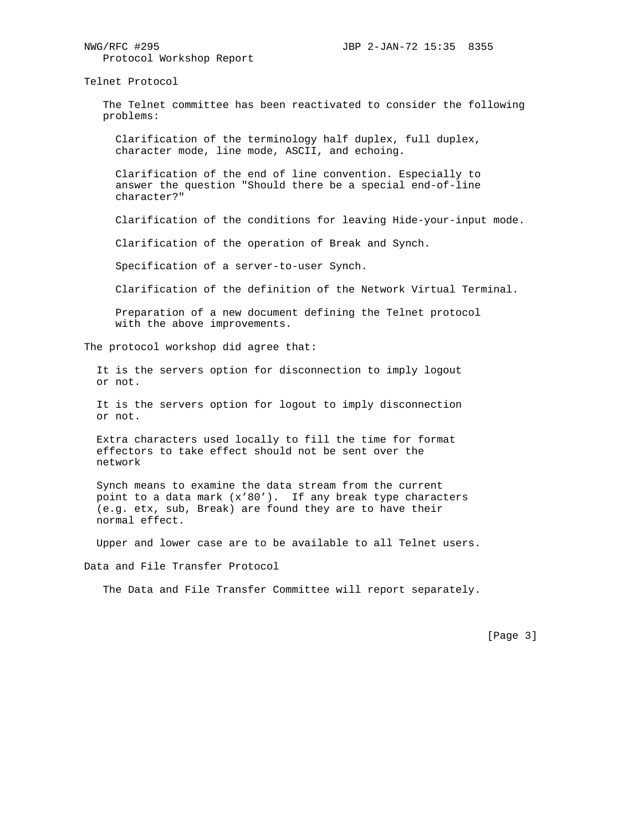Telnet Protocol

 The Telnet committee has been reactivated to consider the following problems:

 Clarification of the terminology half duplex, full duplex, character mode, line mode, ASCII, and echoing.

 Clarification of the end of line convention. Especially to answer the question "Should there be a special end-of-line character?"

Clarification of the conditions for leaving Hide-your-input mode.

Clarification of the operation of Break and Synch.

Specification of a server-to-user Synch.

Clarification of the definition of the Network Virtual Terminal.

 Preparation of a new document defining the Telnet protocol with the above improvements.

The protocol workshop did agree that:

 It is the servers option for disconnection to imply logout or not.

 It is the servers option for logout to imply disconnection or not.

 Extra characters used locally to fill the time for format effectors to take effect should not be sent over the network

 Synch means to examine the data stream from the current point to a data mark (x'80'). If any break type characters (e.g. etx, sub, Break) are found they are to have their normal effect.

Upper and lower case are to be available to all Telnet users.

Data and File Transfer Protocol

The Data and File Transfer Committee will report separately.

[Page 3]